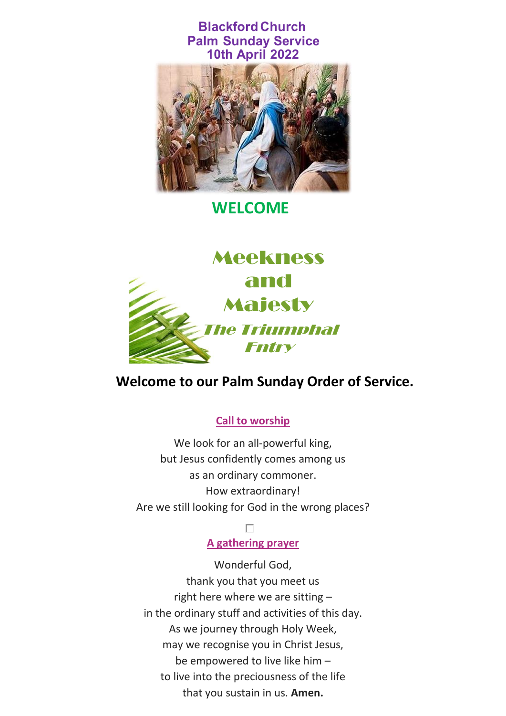### **Blackford Church Palm Sunday Service 10th April 2022**



# **WELCOME**



## **Welcome to our Palm Sunday Order of Service.**

## **[Call to worship](javascript:void(0))**

We look for an all-powerful king, but Jesus confidently comes among us as an ordinary commoner. How extraordinary! Are we still looking for God in the wrong places?

### $\Box$ **[A gathering prayer](javascript:void(0))**

Wonderful God, thank you that you meet us right here where we are sitting – in the ordinary stuff and activities of this day. As we journey through Holy Week, may we recognise you in Christ Jesus, be empowered to live like him – to live into the preciousness of the life that you sustain in us. **Amen.**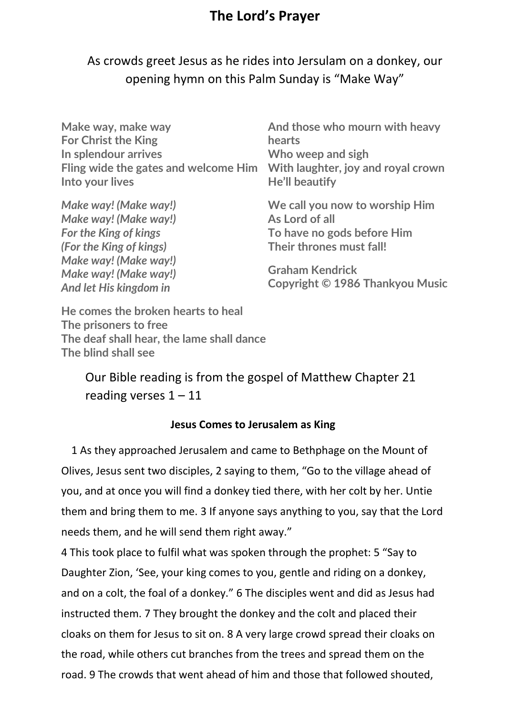As crowds greet Jesus as he rides into Jersulam on a donkey, our opening hymn on this Palm Sunday is "Make Way"

| Make way, make way                   | And those who mourn with heavy     |
|--------------------------------------|------------------------------------|
| <b>For Christ the King</b>           | hearts                             |
| In splendour arrives                 | Who weep and sigh                  |
| Fling wide the gates and welcome Him | With laughter, joy and royal crown |
| Into your lives                      | <b>He'll beautify</b>              |
| Make way! (Make way!)                | We call you now to worship Him     |
| Make way! (Make way!)                | As Lord of all                     |
| <b>For the King of kings</b>         | To have no gods before Him         |
| (For the King of kings)              | Their thrones must fall!           |
| Make way! (Make way!)                |                                    |
| Make way! (Make way!)                | <b>Graham Kendrick</b>             |
| And let His kingdom in               | Copyright © 1986 Thankyou Music    |

**He comes the broken hearts to heal The prisoners to free The deaf shall hear, the lame shall dance The blind shall see**

> Our Bible reading is from the gospel of Matthew Chapter 21 reading verses  $1 - 11$

### **Jesus Comes to Jerusalem as King**

1 As they approached Jerusalem and came to Bethphage on the Mount of Olives, Jesus sent two disciples, 2 saying to them, "Go to the village ahead of you, and at once you will find a donkey tied there, with her colt by her. Untie them and bring them to me. 3 If anyone says anything to you, say that the Lord needs them, and he will send them right away."

4 This took place to fulfil what was spoken through the prophet: 5 "Say to Daughter Zion, 'See, your king comes to you, gentle and riding on a donkey, and on a colt, the foal of a donkey." 6 The disciples went and did as Jesus had instructed them. 7 They brought the donkey and the colt and placed their cloaks on them for Jesus to sit on. 8 A very large crowd spread their cloaks on the road, while others cut branches from the trees and spread them on the road. 9 The crowds that went ahead of him and those that followed shouted,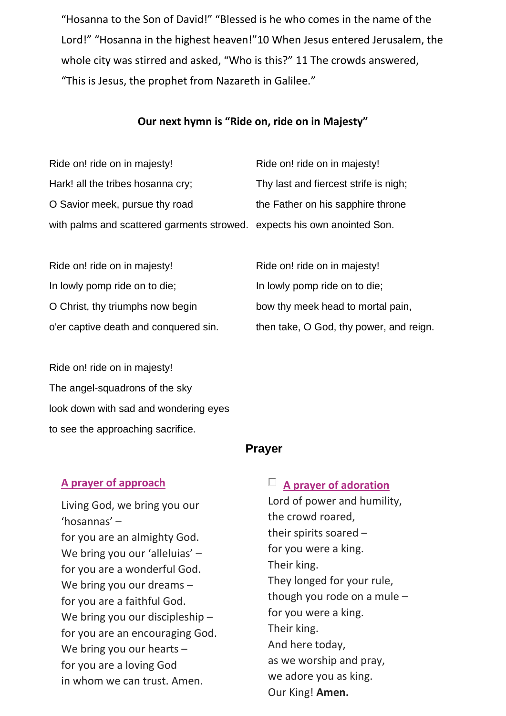"Hosanna to the Son of David!" "Blessed is he who comes in the name of the Lord!" "Hosanna in the highest heaven!"10 When Jesus entered Jerusalem, the whole city was stirred and asked, "Who is this?" 11 The crowds answered, "This is Jesus, the prophet from Nazareth in Galilee."

#### **Our next hymn is "Ride on, ride on in Majesty"**

| Ride on! ride on in majesty!                                             | Ride on! ride on in majesty!          |
|--------------------------------------------------------------------------|---------------------------------------|
| Hark! all the tribes hosanna cry;                                        | Thy last and fiercest strife is nigh; |
| O Savior meek, pursue thy road                                           | the Father on his sapphire throne     |
| with palms and scattered garments strowed. expects his own anointed Son. |                                       |

Ride on! ride on in majesty! In lowly pomp ride on to die; O Christ, thy triumphs now begin o'er captive death and conquered sin. Ride on! ride on in majesty! In lowly pomp ride on to die; bow thy meek head to mortal pain, then take, O God, thy power, and reign.

Ride on! ride on in majesty! The angel-squadrons of the sky look down with sad and wondering eyes to see the approaching sacrifice.

### **Prayer**

#### **[A prayer of approach](javascript:void(0))**

Living God, we bring you our 'hosannas' – for you are an almighty God. We bring you our 'alleluias' – for you are a wonderful God. We bring you our dreams – for you are a faithful God. We bring you our discipleship – for you are an encouraging God. We bring you our hearts – for you are a loving God in whom we can trust. Amen.

### **[A prayer of adoration](javascript:void(0))**

Lord of power and humility, the crowd roared, their spirits soared – for you were a king. Their king. They longed for your rule, though you rode on a mule – for you were a king. Their king. And here today, as we worship and pray, we adore you as king. Our King! **Amen.**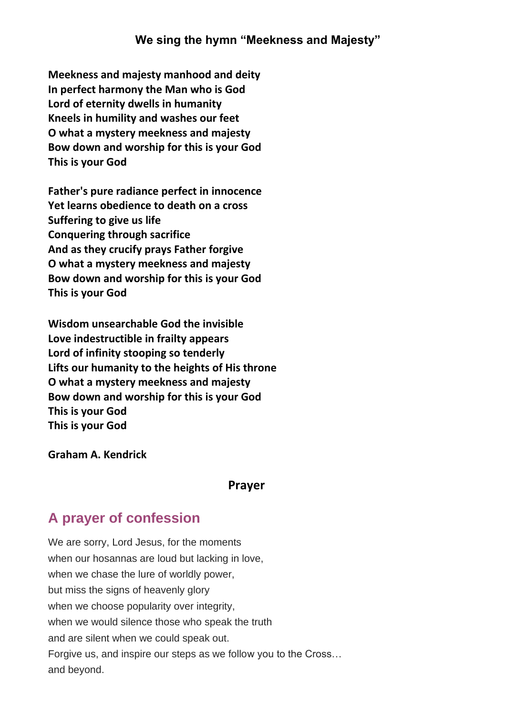### **We sing the hymn "Meekness and Majesty"**

**Meekness and majesty manhood and deity In perfect harmony the Man who is God Lord of eternity dwells in humanity Kneels in humility and washes our feet O what a mystery meekness and majesty Bow down and worship for this is your God This is your God**

**Father's pure radiance perfect in innocence Yet learns obedience to death on a cross Suffering to give us life Conquering through sacrifice And as they crucify prays Father forgive O what a mystery meekness and majesty Bow down and worship for this is your God This is your God**

**Wisdom unsearchable God the invisible Love indestructible in frailty appears Lord of infinity stooping so tenderly Lifts our humanity to the heights of His throne O what a mystery meekness and majesty Bow down and worship for this is your God This is your God This is your God**

**Graham A. Kendrick**

### **Prayer**

## **A prayer of confession**

We are sorry, Lord Jesus, for the moments when our hosannas are loud but lacking in love, when we chase the lure of worldly power, but miss the signs of heavenly glory when we choose popularity over integrity, when we would silence those who speak the truth and are silent when we could speak out. Forgive us, and inspire our steps as we follow you to the Cross… and beyond.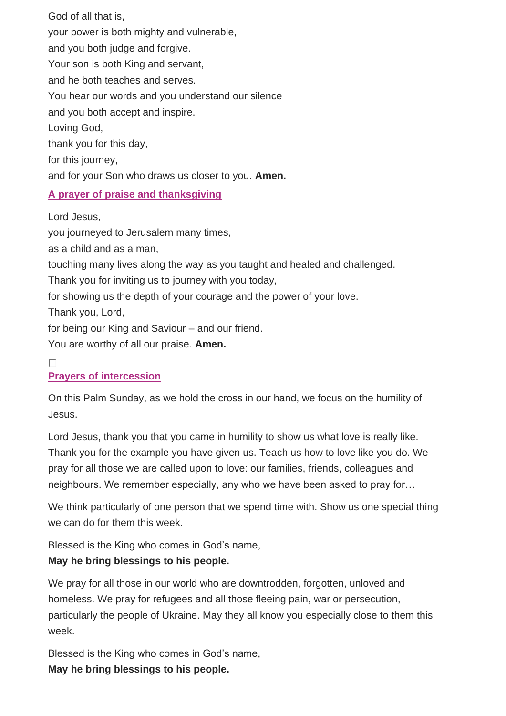God of all that is, your power is both mighty and vulnerable, and you both judge and forgive. Your son is both King and servant, and he both teaches and serves. You hear our words and you understand our silence and you both accept and inspire. Loving God, thank you for this day, for this journey, and for your Son who draws us closer to you. **Amen.**

### **[A prayer of praise and thanksgiving](javascript:void(0))**

Lord Jesus, you journeyed to Jerusalem many times, as a child and as a man, touching many lives along the way as you taught and healed and challenged. Thank you for inviting us to journey with you today, for showing us the depth of your courage and the power of your love. Thank you, Lord, for being our King and Saviour – and our friend. You are worthy of all our praise. **Amen.**  $\Box$ 

### **[Prayers of intercession](javascript:void(0))**

On this Palm Sunday, as we hold the cross in our hand, we focus on the humility of Jesus.

Lord Jesus, thank you that you came in humility to show us what love is really like. Thank you for the example you have given us. Teach us how to love like you do. We pray for all those we are called upon to love: our families, friends, colleagues and neighbours. We remember especially, any who we have been asked to pray for…

We think particularly of one person that we spend time with. Show us one special thing we can do for them this week.

Blessed is the King who comes in God's name,

### **May he bring blessings to his people.**

We pray for all those in our world who are downtrodden, forgotten, unloved and homeless. We pray for refugees and all those fleeing pain, war or persecution, particularly the people of Ukraine. May they all know you especially close to them this week.

Blessed is the King who comes in God's name,

**May he bring blessings to his people.**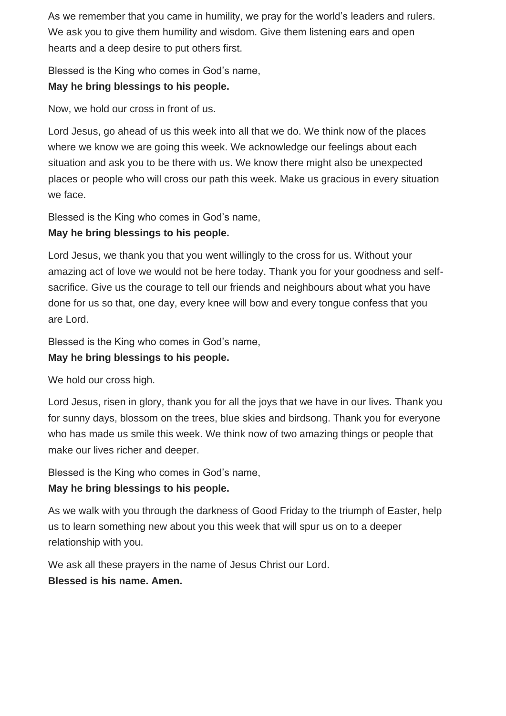As we remember that you came in humility, we pray for the world's leaders and rulers. We ask you to give them humility and wisdom. Give them listening ears and open hearts and a deep desire to put others first.

Blessed is the King who comes in God's name,

### **May he bring blessings to his people.**

Now, we hold our cross in front of us.

Lord Jesus, go ahead of us this week into all that we do. We think now of the places where we know we are going this week. We acknowledge our feelings about each situation and ask you to be there with us. We know there might also be unexpected places or people who will cross our path this week. Make us gracious in every situation we face.

Blessed is the King who comes in God's name,

### **May he bring blessings to his people.**

Lord Jesus, we thank you that you went willingly to the cross for us. Without your amazing act of love we would not be here today. Thank you for your goodness and selfsacrifice. Give us the courage to tell our friends and neighbours about what you have done for us so that, one day, every knee will bow and every tongue confess that you are Lord.

Blessed is the King who comes in God's name,

### **May he bring blessings to his people.**

We hold our cross high.

Lord Jesus, risen in glory, thank you for all the joys that we have in our lives. Thank you for sunny days, blossom on the trees, blue skies and birdsong. Thank you for everyone who has made us smile this week. We think now of two amazing things or people that make our lives richer and deeper.

Blessed is the King who comes in God's name,

### **May he bring blessings to his people.**

As we walk with you through the darkness of Good Friday to the triumph of Easter, help us to learn something new about you this week that will spur us on to a deeper relationship with you.

We ask all these prayers in the name of Jesus Christ our Lord. **Blessed is his name. Amen.**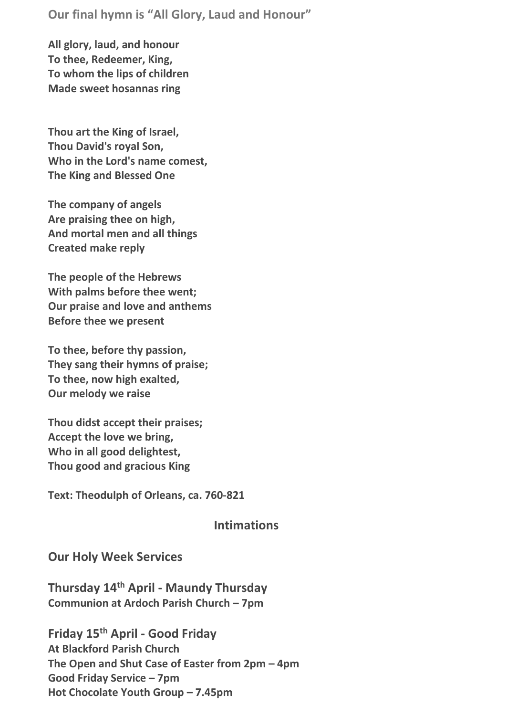### **Our final hymn is "All Glory, Laud and Honour"**

**All glory, laud, and honour To thee, Redeemer, King, To whom the lips of children Made sweet hosannas ring**

**Thou art the King of Israel, Thou David's royal Son, Who in the Lord's name comest, The King and Blessed One**

**The company of angels Are praising thee on high, And mortal men and all things Created make reply**

**The people of the Hebrews With palms before thee went; Our praise and love and anthems Before thee we present**

**To thee, before thy passion, They sang their hymns of praise; To thee, now high exalted, Our melody we raise**

**Thou didst accept their praises; Accept the love we bring, Who in all good delightest, Thou good and gracious King**

**Text: Theodulph of Orleans, ca. 760-821**

### **Intimations**

**Our Holy Week Services**

**Thursday 14th April - Maundy Thursday Communion at Ardoch Parish Church – 7pm**

**Friday 15th April - Good Friday At Blackford Parish Church The Open and Shut Case of Easter from 2pm – 4pm Good Friday Service – 7pm Hot Chocolate Youth Group – 7.45pm**